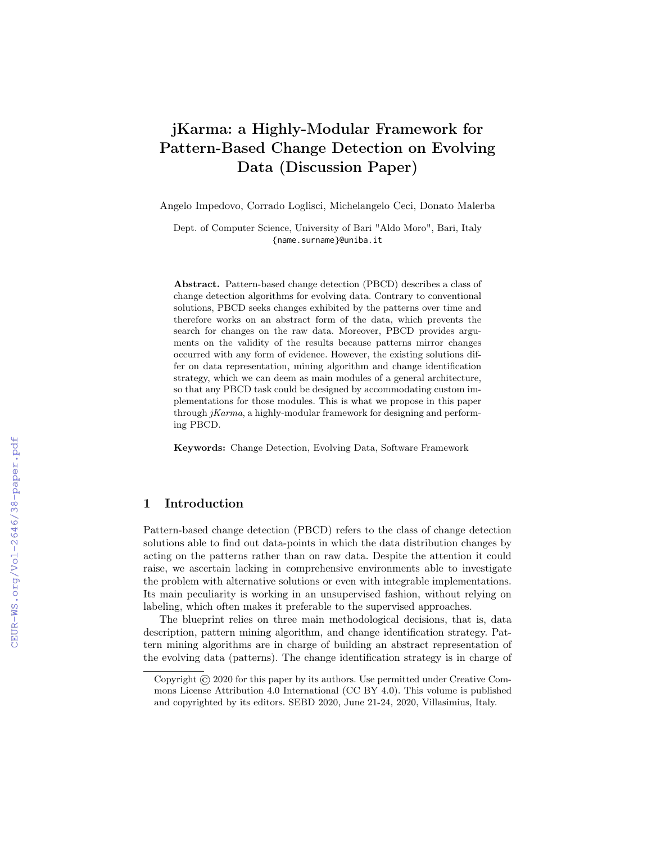# jKarma: a Highly-Modular Framework for Pattern-Based Change Detection on Evolving Data (Discussion Paper)

Angelo Impedovo, Corrado Loglisci, Michelangelo Ceci, Donato Malerba

Dept. of Computer Science, University of Bari "Aldo Moro", Bari, Italy {name.surname}@uniba.it

Abstract. Pattern-based change detection (PBCD) describes a class of change detection algorithms for evolving data. Contrary to conventional solutions, PBCD seeks changes exhibited by the patterns over time and therefore works on an abstract form of the data, which prevents the search for changes on the raw data. Moreover, PBCD provides arguments on the validity of the results because patterns mirror changes occurred with any form of evidence. However, the existing solutions differ on data representation, mining algorithm and change identification strategy, which we can deem as main modules of a general architecture, so that any PBCD task could be designed by accommodating custom implementations for those modules. This is what we propose in this paper through jKarma, a highly-modular framework for designing and performing PBCD.

Keywords: Change Detection, Evolving Data, Software Framework

# 1 Introduction

Pattern-based change detection (PBCD) refers to the class of change detection solutions able to find out data-points in which the data distribution changes by acting on the patterns rather than on raw data. Despite the attention it could raise, we ascertain lacking in comprehensive environments able to investigate the problem with alternative solutions or even with integrable implementations. Its main peculiarity is working in an unsupervised fashion, without relying on labeling, which often makes it preferable to the supervised approaches.

The blueprint relies on three main methodological decisions, that is, data description, pattern mining algorithm, and change identification strategy. Pattern mining algorithms are in charge of building an abstract representation of the evolving data (patterns). The change identification strategy is in charge of

Copyright © 2020 for this paper by its authors. Use permitted under Creative Commons License Attribution 4.0 International (CC BY 4.0). This volume is published and copyrighted by its editors. SEBD 2020, June 21-24, 2020, Villasimius, Italy.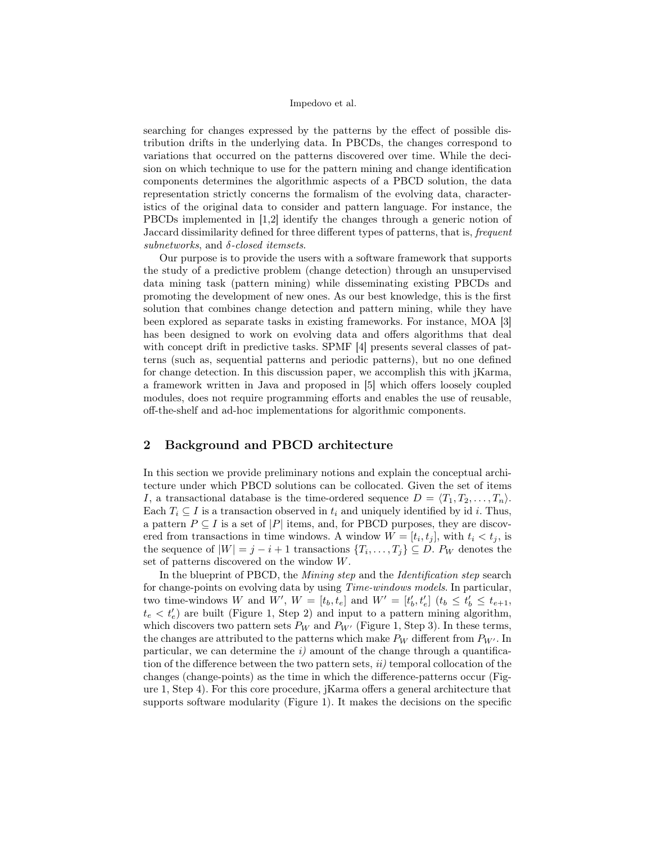searching for changes expressed by the patterns by the effect of possible distribution drifts in the underlying data. In PBCDs, the changes correspond to variations that occurred on the patterns discovered over time. While the decision on which technique to use for the pattern mining and change identification components determines the algorithmic aspects of a PBCD solution, the data representation strictly concerns the formalism of the evolving data, characteristics of the original data to consider and pattern language. For instance, the PBCDs implemented in [1,2] identify the changes through a generic notion of Jaccard dissimilarity defined for three different types of patterns, that is, frequent subnetworks, and  $\delta$ -closed itemsets.

Our purpose is to provide the users with a software framework that supports the study of a predictive problem (change detection) through an unsupervised data mining task (pattern mining) while disseminating existing PBCDs and promoting the development of new ones. As our best knowledge, this is the first solution that combines change detection and pattern mining, while they have been explored as separate tasks in existing frameworks. For instance, MOA [3] has been designed to work on evolving data and offers algorithms that deal with concept drift in predictive tasks. SPMF [4] presents several classes of patterns (such as, sequential patterns and periodic patterns), but no one defined for change detection. In this discussion paper, we accomplish this with jKarma, a framework written in Java and proposed in [5] which offers loosely coupled modules, does not require programming efforts and enables the use of reusable, off-the-shelf and ad-hoc implementations for algorithmic components.

## 2 Background and PBCD architecture

In this section we provide preliminary notions and explain the conceptual architecture under which PBCD solutions can be collocated. Given the set of items I, a transactional database is the time-ordered sequence  $D = \langle T_1, T_2, \ldots, T_n \rangle$ . Each  $T_i \subseteq I$  is a transaction observed in  $t_i$  and uniquely identified by id i. Thus, a pattern  $P \subseteq I$  is a set of |P| items, and, for PBCD purposes, they are discovered from transactions in time windows. A window  $W = [t_i, t_j]$ , with  $t_i < t_j$ , is the sequence of  $|W| = j - i + 1$  transactions  $\{T_i, \ldots, T_j\} \subseteq D$ .  $P_W$  denotes the set of patterns discovered on the window W.

In the blueprint of PBCD, the *Mining step* and the *Identification step* search for change-points on evolving data by using Time-windows models. In particular, two time-windows W and  $W'$ ,  $W = [t_b, t_e]$  and  $W' = [t'_b, t'_e]$   $(t_b \le t'_b \le t_{e+1},$  $t_e < t'_e$ ) are built (Figure 1, Step 2) and input to a pattern mining algorithm, which discovers two pattern sets  $P_W$  and  $P_{W'}$  (Figure 1, Step 3). In these terms, the changes are attributed to the patterns which make  $P_W$  different from  $P_{W'}$ . In particular, we can determine the  $i$ ) amount of the change through a quantification of the difference between the two pattern sets,  $ii$  temporal collocation of the changes (change-points) as the time in which the difference-patterns occur (Figure 1, Step 4). For this core procedure, jKarma offers a general architecture that supports software modularity (Figure 1). It makes the decisions on the specific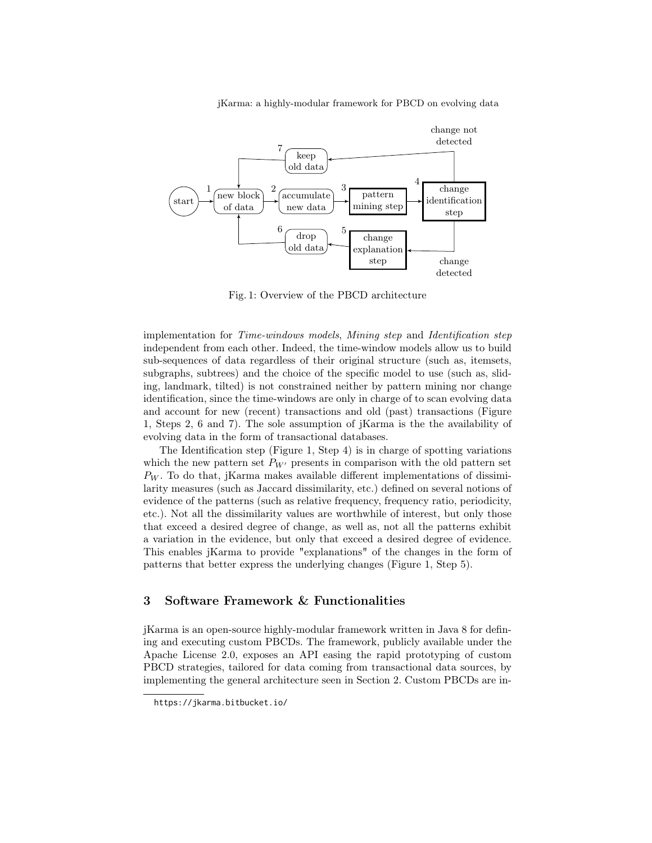jKarma: a highly-modular framework for PBCD on evolving data



Fig. 1: Overview of the PBCD architecture

implementation for Time-windows models, Mining step and Identification step independent from each other. Indeed, the time-window models allow us to build sub-sequences of data regardless of their original structure (such as, itemsets, subgraphs, subtrees) and the choice of the specific model to use (such as, sliding, landmark, tilted) is not constrained neither by pattern mining nor change identification, since the time-windows are only in charge of to scan evolving data and account for new (recent) transactions and old (past) transactions (Figure 1, Steps 2, 6 and 7). The sole assumption of jKarma is the the availability of evolving data in the form of transactional databases.

The Identification step (Figure 1, Step 4) is in charge of spotting variations which the new pattern set  $P_{W}$  presents in comparison with the old pattern set  $P_W$ . To do that, jKarma makes available different implementations of dissimilarity measures (such as Jaccard dissimilarity, etc.) defined on several notions of evidence of the patterns (such as relative frequency, frequency ratio, periodicity, etc.). Not all the dissimilarity values are worthwhile of interest, but only those that exceed a desired degree of change, as well as, not all the patterns exhibit a variation in the evidence, but only that exceed a desired degree of evidence. This enables jKarma to provide "explanations" of the changes in the form of patterns that better express the underlying changes (Figure 1, Step 5).

### 3 Software Framework & Functionalities

jKarma is an open-source highly-modular framework written in Java 8 for defining and executing custom PBCDs. The framework, publicly available under the Apache License 2.0, exposes an API easing the rapid prototyping of custom PBCD strategies, tailored for data coming from transactional data sources, by implementing the general architecture seen in Section 2. Custom PBCDs are in-

https://jkarma.bitbucket.io/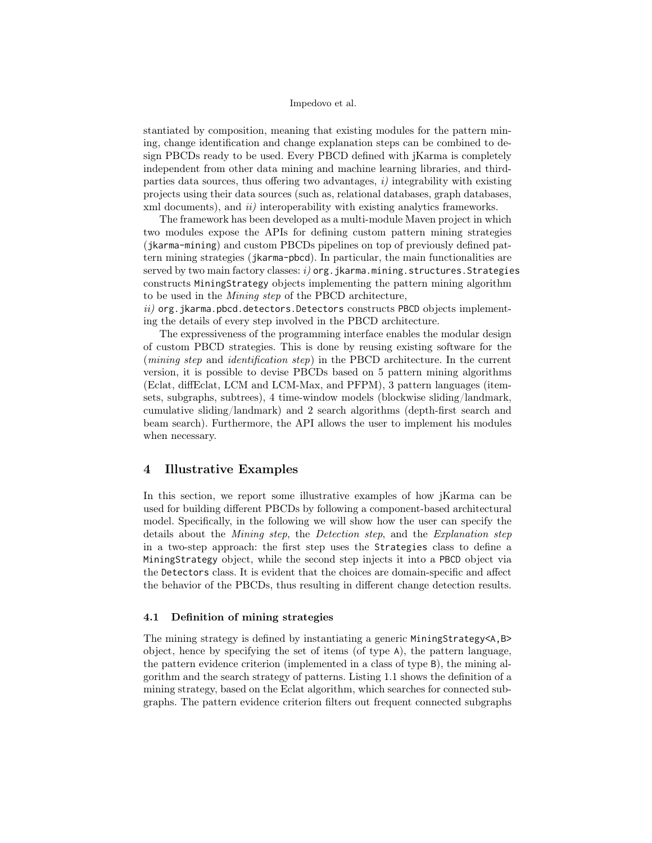stantiated by composition, meaning that existing modules for the pattern mining, change identification and change explanation steps can be combined to design PBCDs ready to be used. Every PBCD defined with jKarma is completely independent from other data mining and machine learning libraries, and thirdparties data sources, thus offering two advantages,  $i$ ) integrability with existing projects using their data sources (such as, relational databases, graph databases, xml documents), and *ii*) interoperability with existing analytics frameworks.

The framework has been developed as a multi-module Maven project in which two modules expose the APIs for defining custom pattern mining strategies (jkarma-mining) and custom PBCDs pipelines on top of previously defined pattern mining strategies (jkarma-pbcd). In particular, the main functionalities are served by two main factory classes:  $i)$  org. jkarma.mining.structures. Strategies constructs MiningStrategy objects implementing the pattern mining algorithm to be used in the Mining step of the PBCD architecture,

 $ii)$  org. jkarma.pbcd.detectors.Detectors constructs PBCD objects implementing the details of every step involved in the PBCD architecture.

The expressiveness of the programming interface enables the modular design of custom PBCD strategies. This is done by reusing existing software for the (mining step and identification step) in the PBCD architecture. In the current version, it is possible to devise PBCDs based on 5 pattern mining algorithms (Eclat, diffEclat, LCM and LCM-Max, and PFPM), 3 pattern languages (itemsets, subgraphs, subtrees), 4 time-window models (blockwise sliding/landmark, cumulative sliding/landmark) and 2 search algorithms (depth-first search and beam search). Furthermore, the API allows the user to implement his modules when necessary.

### 4 Illustrative Examples

In this section, we report some illustrative examples of how jKarma can be used for building different PBCDs by following a component-based architectural model. Specifically, in the following we will show how the user can specify the details about the *Mining step*, the *Detection step*, and the *Explanation step* in a two-step approach: the first step uses the Strategies class to define a MiningStrategy object, while the second step injects it into a PBCD object via the Detectors class. It is evident that the choices are domain-specific and affect the behavior of the PBCDs, thus resulting in different change detection results.

### 4.1 Definition of mining strategies

The mining strategy is defined by instantiating a generic MiningStrategy<A,B> object, hence by specifying the set of items (of type A), the pattern language, the pattern evidence criterion (implemented in a class of type B), the mining algorithm and the search strategy of patterns. Listing 1.1 shows the definition of a mining strategy, based on the Eclat algorithm, which searches for connected subgraphs. The pattern evidence criterion filters out frequent connected subgraphs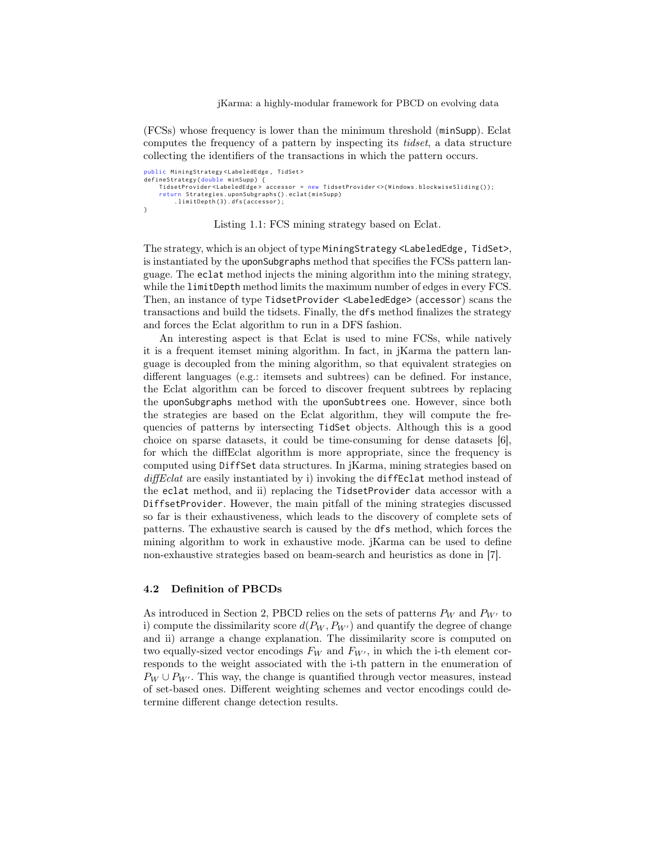jKarma: a highly-modular framework for PBCD on evolving data

(FCSs) whose frequency is lower than the minimum threshold (minSupp). Eclat computes the frequency of a pattern by inspecting its tidset, a data structure collecting the identifiers of the transactions in which the pattern occurs.

```
public MiningStrategy<LabeledEdge, TidSet>
defineStrategy ( double minSupp ) {
    TidsetProvider <LabeledEdge> accessor = new TidsetProvider <>(Windows.blockwiseSliding());
    return Strategies . uponSubgraphs () . eclat ( minSupp )
         . limitDepth (3) . dfs ( accessor ) ;
}
```
Listing 1.1: FCS mining strategy based on Eclat.

The strategy, which is an object of type MiningStrategy <LabeledEdge, TidSet>, is instantiated by the uponSubgraphs method that specifies the FCSs pattern language. The eclat method injects the mining algorithm into the mining strategy, while the limitDepth method limits the maximum number of edges in every FCS. Then, an instance of type TidsetProvider <LabeledEdge> (accessor) scans the transactions and build the tidsets. Finally, the dfs method finalizes the strategy and forces the Eclat algorithm to run in a DFS fashion.

An interesting aspect is that Eclat is used to mine FCSs, while natively it is a frequent itemset mining algorithm. In fact, in jKarma the pattern language is decoupled from the mining algorithm, so that equivalent strategies on different languages (e.g.: itemsets and subtrees) can be defined. For instance, the Eclat algorithm can be forced to discover frequent subtrees by replacing the uponSubgraphs method with the uponSubtrees one. However, since both the strategies are based on the Eclat algorithm, they will compute the frequencies of patterns by intersecting TidSet objects. Although this is a good choice on sparse datasets, it could be time-consuming for dense datasets [6], for which the diffEclat algorithm is more appropriate, since the frequency is computed using DiffSet data structures. In jKarma, mining strategies based on diffEclat are easily instantiated by i) invoking the diffEclat method instead of the eclat method, and ii) replacing the TidsetProvider data accessor with a DiffsetProvider. However, the main pitfall of the mining strategies discussed so far is their exhaustiveness, which leads to the discovery of complete sets of patterns. The exhaustive search is caused by the dfs method, which forces the mining algorithm to work in exhaustive mode. jKarma can be used to define non-exhaustive strategies based on beam-search and heuristics as done in [7].

### 4.2 Definition of PBCDs

As introduced in Section 2, PBCD relies on the sets of patterns  $P_W$  and  $P_{W'}$  to i) compute the dissimilarity score  $d(P_W, P_{W'})$  and quantify the degree of change and ii) arrange a change explanation. The dissimilarity score is computed on two equally-sized vector encodings  $F_W$  and  $F_{W'}$ , in which the i-th element corresponds to the weight associated with the i-th pattern in the enumeration of  $P_W \cup P_{W'}$ . This way, the change is quantified through vector measures, instead of set-based ones. Different weighting schemes and vector encodings could determine different change detection results.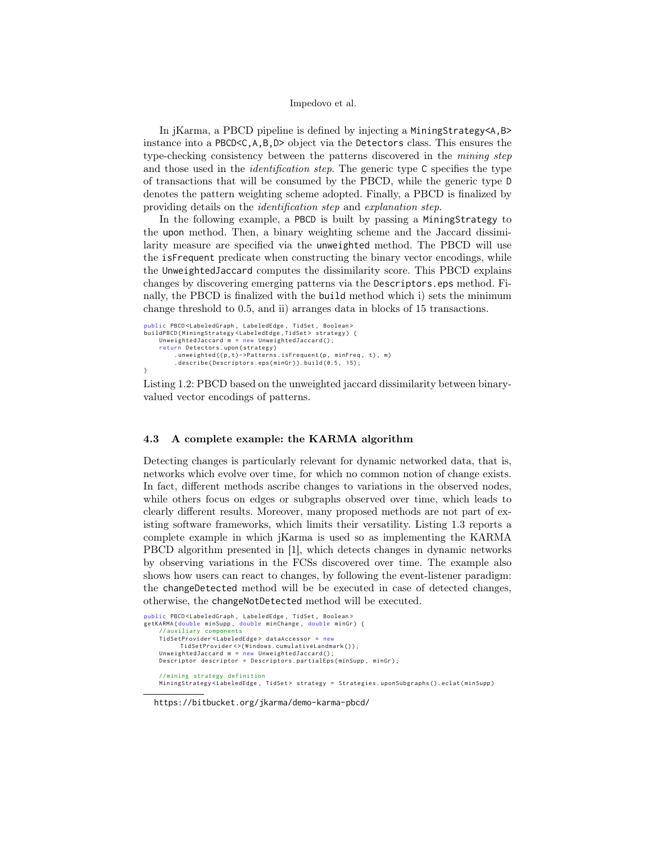In jKarma, a PBCD pipeline is defined by injecting a MiningStrategy<A,B> instance into a PBCD<C,A,B,D> object via the Detectors class. This ensures the type-checking consistency between the patterns discovered in the mining step and those used in the *identification step*. The generic type C specifies the type of transactions that will be consumed by the PBCD, while the generic type D denotes the pattern weighting scheme adopted. Finally, a PBCD is finalized by providing details on the identification step and explanation step.

In the following example, a PBCD is built by passing a MiningStrategy to the upon method. Then, a binary weighting scheme and the Jaccard dissimilarity measure are specified via the unweighted method. The PBCD will use the isFrequent predicate when constructing the binary vector encodings, while the UnweightedJaccard computes the dissimilarity score. This PBCD explains changes by discovering emerging patterns via the Descriptors.eps method. Finally, the PBCD is finalized with the build method which i) sets the minimum change threshold to 0.5, and ii) arranges data in blocks of 15 transactions.

```
public PBCD <LabeledGraph, LabeledEdge, TidSet, Boolean>
buildPBCD(MiningStrategy<LabeledEdge,TidSet> strategy) {<br>UnweightedJaccard m = new UnweightedJaccard();
      return Detectors . upon ( strategy )
             .unweighted((p,t)->Patterns.isFrequent(p, minFreq, t), m)<br>.describe(Descriptors.eps(minGr)).build(0.5, 15);
}
```
Listing 1.2: PBCD based on the unweighted jaccard dissimilarity between binaryvalued vector encodings of patterns.

### 4.3 A complete example: the KARMA algorithm

Detecting changes is particularly relevant for dynamic networked data, that is, networks which evolve over time, for which no common notion of change exists. In fact, different methods ascribe changes to variations in the observed nodes, while others focus on edges or subgraphs observed over time, which leads to clearly different results. Moreover, many proposed methods are not part of existing software frameworks, which limits their versatility. Listing 1.3 reports a complete example in which jKarma is used so as implementing the KARMA PBCD algorithm presented in [1], which detects changes in dynamic networks by observing variations in the FCSs discovered over time. The example also shows how users can react to changes, by following the event-listener paradigm: the changeDetected method will be be executed in case of detected changes, otherwise, the changeNotDetected method will be executed.

```
public PBCD<LabeledGraph, LabeledEdge, TidSet, Boolean><br>getKARMA(double minSupp, double minChange, double minGr) {
    // auxiliary components
    TidSetProvider < LabeledEdge > dataAccessor = new
           TidSetProvider <> (Windows.cumulativeLandmark());
    UnweightedJaccard m = new UnweightedJaccard():
    Descriptor descriptor = Descriptors.partialEps(minSupp, minGr);
    // mining strategy definition
    MiningStrategy<LabeledEdge, TidSet> strategy = Strategies.uponSubgraphs().eclat(minSupp)
```
#### https://bitbucket.org/jkarma/demo-karma-pbcd/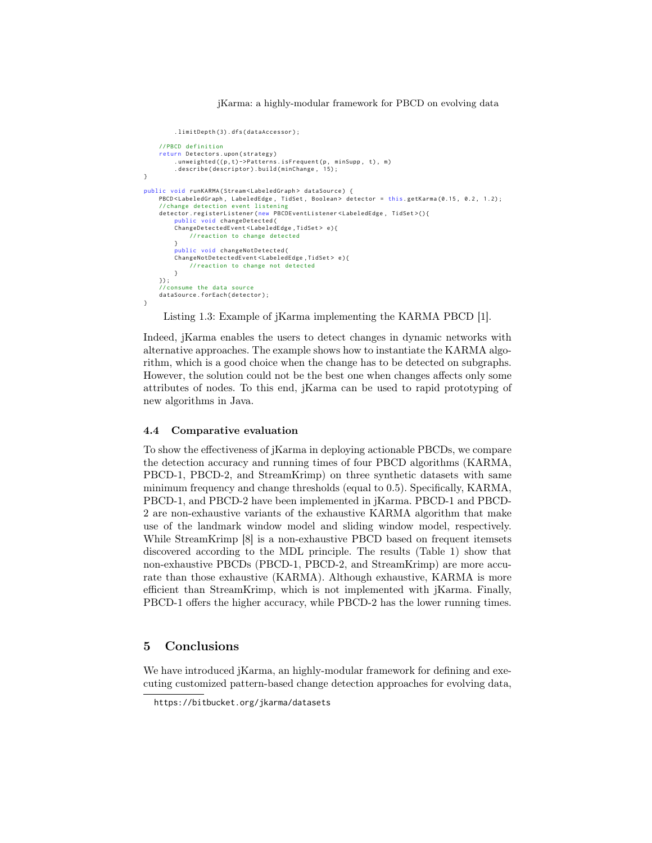jKarma: a highly-modular framework for PBCD on evolving data

```
. limitDepth (3) . dfs ( dataAccessor ) ;
    // PBCD definition
    return Detectors.upon(strategy)
         .unweighted((p,t)->Patterns.isFrequent(p, minSupp, t), m)<br>.describe(descriptor).build(minChange, 15);
}
public void runKARMA ( Stream < LabeledGraph > dataSource ) {
    PBCD <LabeledGraph, LabeledEdge, TidSet, Boolean> detector = this .getKarma (0.15, 0.2, 1.2);
    // change detection event listening
    detector . registerListener ( new PBCDEventListener < LabeledEdge , TidSet >() {
         public void changeDetected (
         ChangeDetectedEvent < LabeledEdge , TidSet > e ) {
              // reaction to change detected
         }
         public void changeNotDetected (
         ChangeNotDetectedEvent < LabeledEdge , TidSet > e ) {
              // reaction to change not detected
         }
    }) ;
     // consume the data source
    dataSource . forEach ( detector ) ;
}
```
Listing 1.3: Example of jKarma implementing the KARMA PBCD [1].

Indeed, jKarma enables the users to detect changes in dynamic networks with alternative approaches. The example shows how to instantiate the KARMA algorithm, which is a good choice when the change has to be detected on subgraphs. However, the solution could not be the best one when changes affects only some attributes of nodes. To this end, jKarma can be used to rapid prototyping of new algorithms in Java.

### 4.4 Comparative evaluation

To show the effectiveness of jKarma in deploying actionable PBCDs, we compare the detection accuracy and running times of four PBCD algorithms (KARMA, PBCD-1, PBCD-2, and StreamKrimp) on three synthetic datasets with same minimum frequency and change thresholds (equal to 0.5). Specifically, KARMA, PBCD-1, and PBCD-2 have been implemented in jKarma. PBCD-1 and PBCD-2 are non-exhaustive variants of the exhaustive KARMA algorithm that make use of the landmark window model and sliding window model, respectively. While StreamKrimp [8] is a non-exhaustive PBCD based on frequent itemsets discovered according to the MDL principle. The results (Table 1) show that non-exhaustive PBCDs (PBCD-1, PBCD-2, and StreamKrimp) are more accurate than those exhaustive (KARMA). Although exhaustive, KARMA is more efficient than StreamKrimp, which is not implemented with jKarma. Finally, PBCD-1 offers the higher accuracy, while PBCD-2 has the lower running times.

# 5 Conclusions

We have introduced jKarma, an highly-modular framework for defining and executing customized pattern-based change detection approaches for evolving data,

https://bitbucket.org/jkarma/datasets